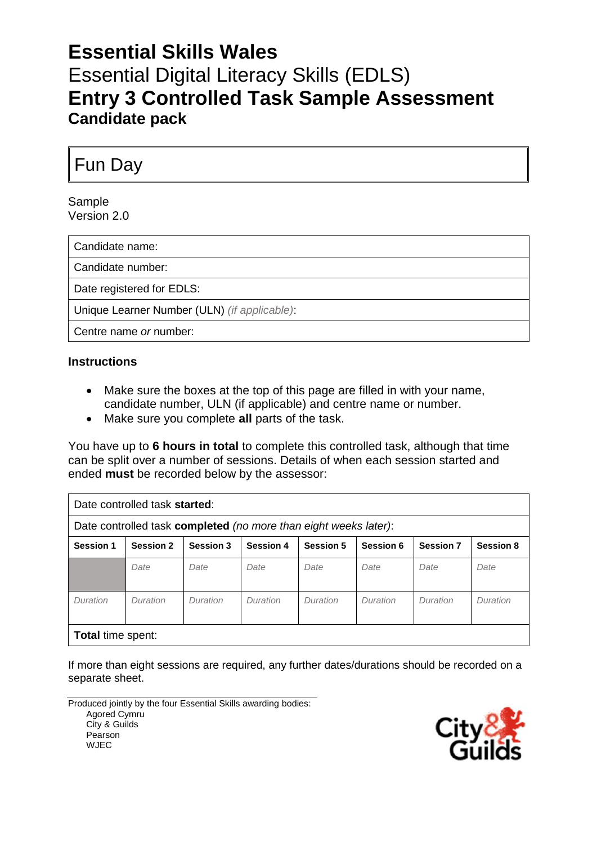# **Essential Skills Wales** Essential Digital Literacy Skills (EDLS) **Entry 3 Controlled Task Sample Assessment Candidate pack**

Fun Day

Sample Version 2.0

Candidate name:

Candidate number:

Date registered for EDLS:

Unique Learner Number (ULN) *(if applicable)*:

Centre name *or* number:

#### **Instructions**

- Make sure the boxes at the top of this page are filled in with your name, candidate number, ULN (if applicable) and centre name or number.
- Make sure you complete **all** parts of the task.

You have up to **6 hours in total** to complete this controlled task, although that time can be split over a number of sessions. Details of when each session started and ended **must** be recorded below by the assessor:

| Date controlled task started:                                    |                  |                  |           |                  |           |                  |                  |  |
|------------------------------------------------------------------|------------------|------------------|-----------|------------------|-----------|------------------|------------------|--|
| Date controlled task completed (no more than eight weeks later): |                  |                  |           |                  |           |                  |                  |  |
| <b>Session 1</b>                                                 | <b>Session 2</b> | <b>Session 3</b> | Session 4 | <b>Session 5</b> | Session 6 | <b>Session 7</b> | <b>Session 8</b> |  |
|                                                                  | Date             | Date             | Date      | Date             | Date      | Date             | Date             |  |
| Duration                                                         | Duration         | Duration         | Duration  | Duration         | Duration  | Duration         | Duration         |  |
| Total time spent:                                                |                  |                  |           |                  |           |                  |                  |  |

If more than eight sessions are required, any further dates/durations should be recorded on a separate sheet.

Produced jointly by the four Essential Skills awarding bodies: Agored Cymru City & Guilds Pearson WJEC

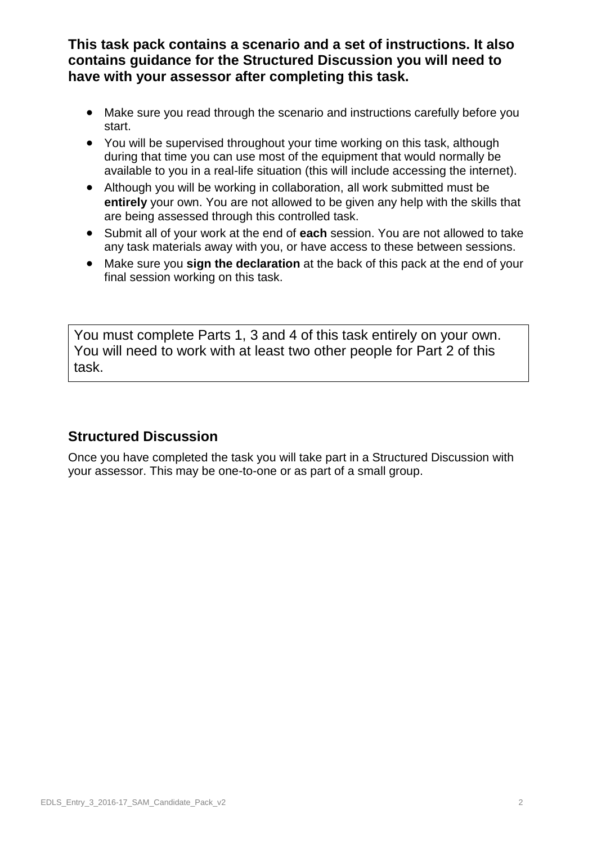**This task pack contains a scenario and a set of instructions. It also contains guidance for the Structured Discussion you will need to have with your assessor after completing this task.**

- Make sure you read through the scenario and instructions carefully before you start.
- You will be supervised throughout your time working on this task, although during that time you can use most of the equipment that would normally be available to you in a real-life situation (this will include accessing the internet).
- Although you will be working in collaboration, all work submitted must be **entirely** your own. You are not allowed to be given any help with the skills that are being assessed through this controlled task.
- Submit all of your work at the end of **each** session. You are not allowed to take any task materials away with you, or have access to these between sessions.
- Make sure you **sign the declaration** at the back of this pack at the end of your final session working on this task.

You must complete Parts 1, 3 and 4 of this task entirely on your own. You will need to work with at least two other people for Part 2 of this task.

### **Structured Discussion**

Once you have completed the task you will take part in a Structured Discussion with your assessor. This may be one-to-one or as part of a small group.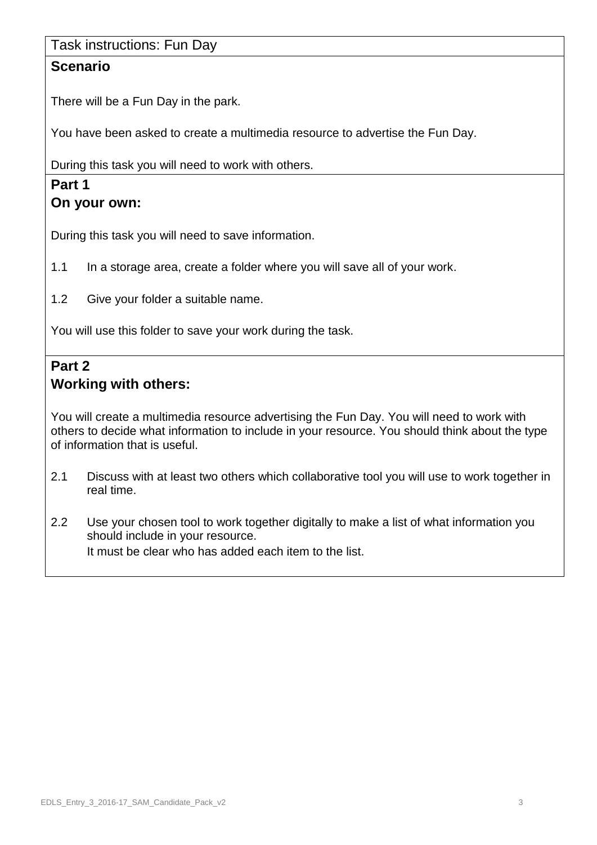#### Task instructions: Fun Day

### **Scenario**

There will be a Fun Day in the park.

You have been asked to create a multimedia resource to advertise the Fun Day.

During this task you will need to work with others.

## **Part 1 On your own:**

During this task you will need to save information.

- 1.1 In a storage area, create a folder where you will save all of your work.
- 1.2 Give your folder a suitable name.

You will use this folder to save your work during the task.

### **Part 2 Working with others:**

You will create a multimedia resource advertising the Fun Day. You will need to work with others to decide what information to include in your resource. You should think about the type of information that is useful.

- 2.1 Discuss with at least two others which collaborative tool you will use to work together in real time.
- 2.2 Use your chosen tool to work together digitally to make a list of what information you should include in your resource. It must be clear who has added each item to the list.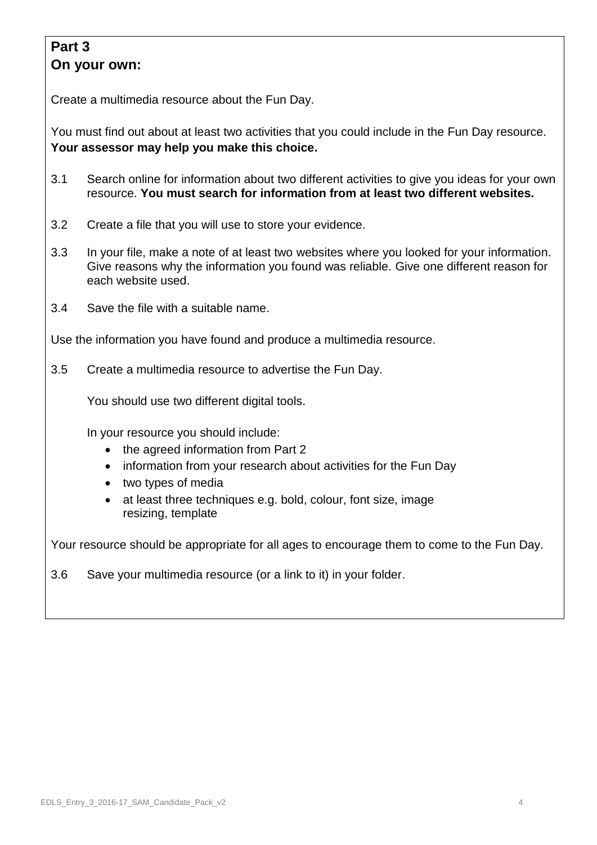## **Part 3 On your own:**

Create a multimedia resource about the Fun Day.

You must find out about at least two activities that you could include in the Fun Day resource. **Your assessor may help you make this choice.**

- 3.1 Search online for information about two different activities to give you ideas for your own resource. **You must search for information from at least two different websites.**
- 3.2 Create a file that you will use to store your evidence.
- 3.3 In your file, make a note of at least two websites where you looked for your information. Give reasons why the information you found was reliable. Give one different reason for each website used.
- 3.4 Save the file with a suitable name.

Use the information you have found and produce a multimedia resource.

3.5 Create a multimedia resource to advertise the Fun Day.

You should use two different digital tools.

In your resource you should include:

- the agreed information from Part 2
- information from your research about activities for the Fun Day
- two types of media
- at least three techniques e.g. bold, colour, font size, image resizing, template

Your resource should be appropriate for all ages to encourage them to come to the Fun Day.

3.6 Save your multimedia resource (or a link to it) in your folder.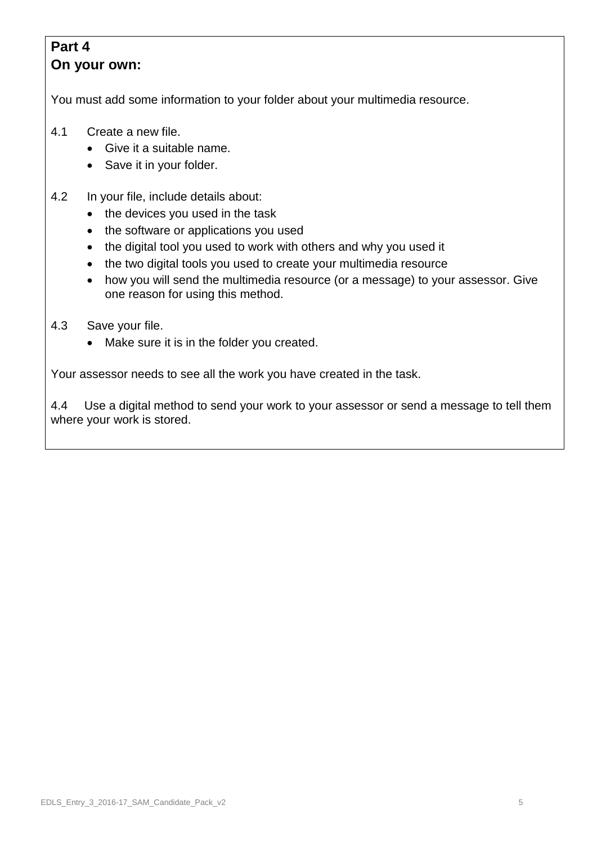## **Part 4 On your own:**

You must add some information to your folder about your multimedia resource.

- 4.1 Create a new file.
	- Give it a suitable name.
	- Save it in your folder.
- 4.2 In your file, include details about:
	- the devices you used in the task
	- the software or applications you used
	- the digital tool you used to work with others and why you used it
	- the two digital tools you used to create your multimedia resource
	- how you will send the multimedia resource (or a message) to your assessor. Give one reason for using this method.

#### 4.3 Save your file.

• Make sure it is in the folder you created.

Your assessor needs to see all the work you have created in the task.

4.4 Use a digital method to send your work to your assessor or send a message to tell them where your work is stored.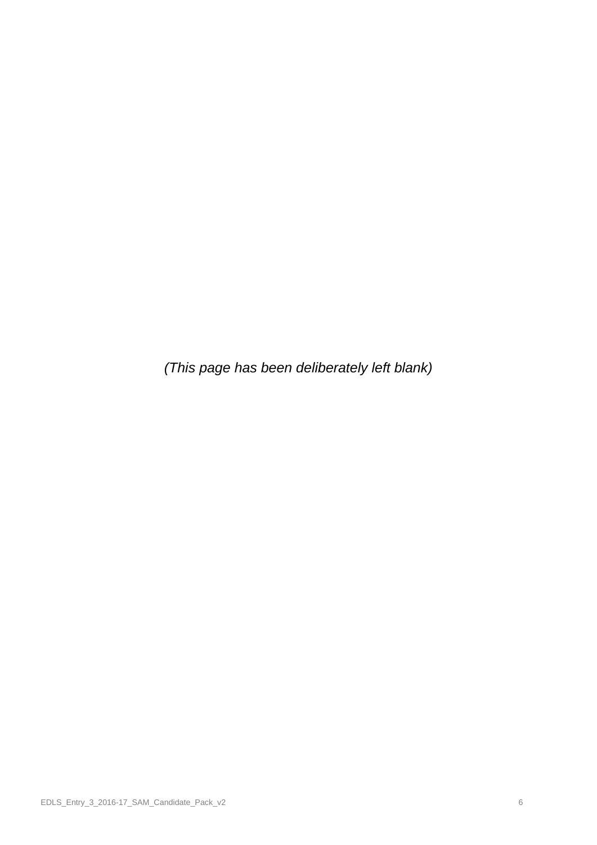*(This page has been deliberately left blank)*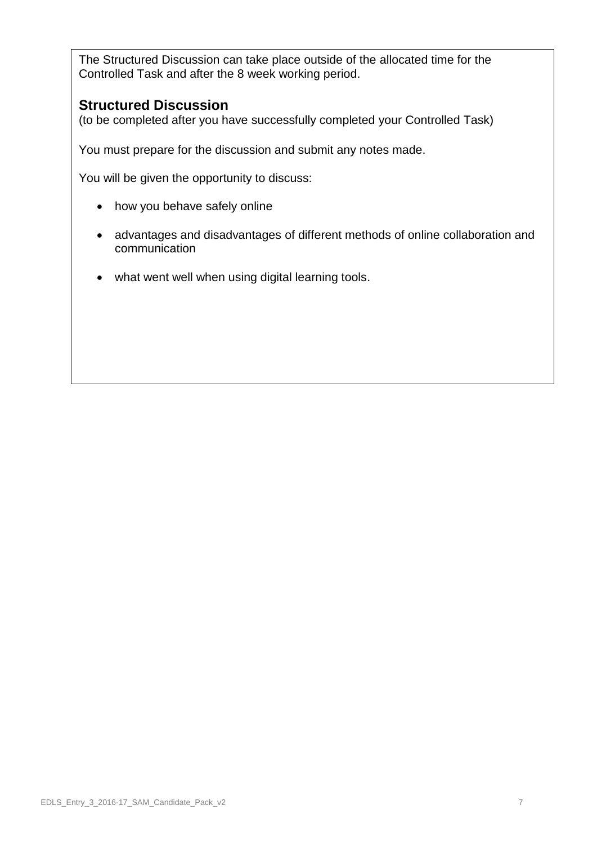The Structured Discussion can take place outside of the allocated time for the Controlled Task and after the 8 week working period.

#### **Structured Discussion**

(to be completed after you have successfully completed your Controlled Task)

You must prepare for the discussion and submit any notes made.

You will be given the opportunity to discuss:

- how you behave safely online
- advantages and disadvantages of different methods of online collaboration and communication
- what went well when using digital learning tools.